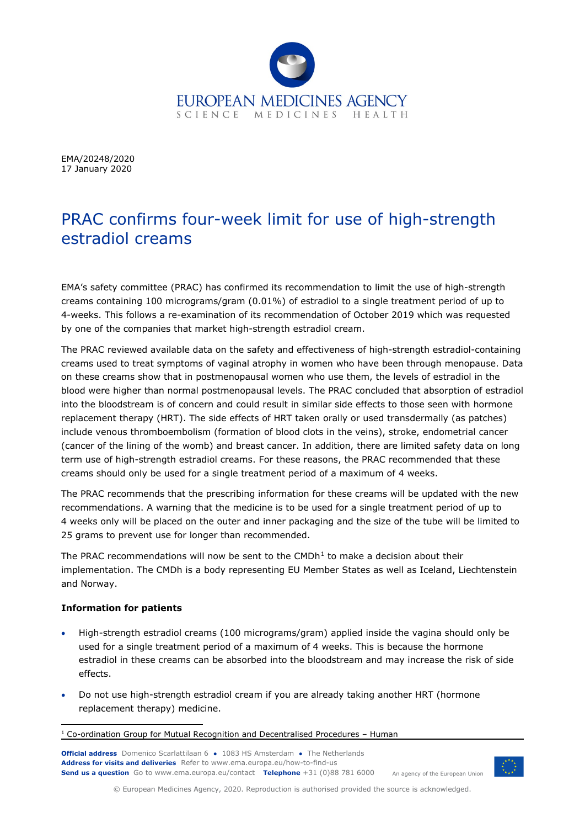

EMA/20248/2020 17 January 2020

# PRAC confirms four-week limit for use of high-strength estradiol creams

EMA's safety committee (PRAC) has confirmed its recommendation to limit the use of high-strength creams containing 100 micrograms/gram (0.01%) of estradiol to a single treatment period of up to 4-weeks. This follows a re-examination of its recommendation of October 2019 which was requested by one of the companies that market high-strength estradiol cream.

The PRAC reviewed available data on the safety and effectiveness of high-strength estradiol-containing creams used to treat symptoms of vaginal atrophy in women who have been through menopause. Data on these creams show that in postmenopausal women who use them, the levels of estradiol in the blood were higher than normal postmenopausal levels. The PRAC concluded that absorption of estradiol into the bloodstream is of concern and could result in similar side effects to those seen with hormone replacement therapy (HRT). The side effects of HRT taken orally or used transdermally (as patches) include venous thromboembolism (formation of blood clots in the veins), stroke, endometrial cancer (cancer of the lining of the womb) and breast cancer. In addition, there are limited safety data on long term use of high-strength estradiol creams. For these reasons, the PRAC recommended that these creams should only be used for a single treatment period of a maximum of 4 weeks.

The PRAC recommends that the prescribing information for these creams will be updated with the new recommendations. A warning that the medicine is to be used for a single treatment period of up to 4 weeks only will be placed on the outer and inner packaging and the size of the tube will be limited to 25 grams to prevent use for longer than recommended.

The PRAC recommendations will now be sent to the  $\text{CMDh}^1$  $\text{CMDh}^1$  to make a decision about their implementation. The CMDh is a body representing EU Member States as well as Iceland, Liechtenstein and Norway.

## **Information for patients**

- High-strength estradiol creams (100 micrograms/gram) applied inside the vagina should only be used for a single treatment period of a maximum of 4 weeks. This is because the hormone estradiol in these creams can be absorbed into the bloodstream and may increase the risk of side effects.
- Do not use high-strength estradiol cream if you are already taking another HRT (hormone replacement therapy) medicine.

**Official address** Domenico Scarlattilaan 6 **●** 1083 HS Amsterdam **●** The Netherlands An agency of the European Union **Address for visits and deliveries** Refer to [www.ema.europa.eu/how-to-find-us](http://www.ema.europa.eu/how-to-find-us) **Send us a question** Go t[o www.ema.europa.eu/contact](http://www.ema.europa.eu/contact) **Telephone** +31 (0)88 781 6000



© European Medicines Agency, 2020. Reproduction is authorised provided the source is acknowledged.

<span id="page-0-0"></span> $1$  Co-ordination Group for Mutual Recognition and Decentralised Procedures – Human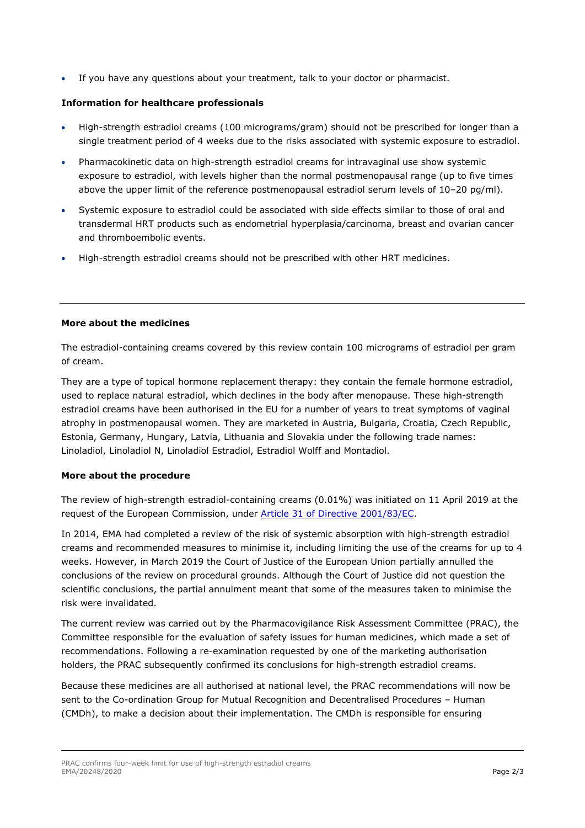• If you have any questions about your treatment, talk to your doctor or pharmacist.

## **Information for healthcare professionals**

- High-strength estradiol creams (100 micrograms/gram) should not be prescribed for longer than a single treatment period of 4 weeks due to the risks associated with systemic exposure to estradiol.
- Pharmacokinetic data on high-strength estradiol creams for intravaginal use show systemic exposure to estradiol, with levels higher than the normal postmenopausal range (up to five times above the upper limit of the reference postmenopausal estradiol serum levels of 10–20 pg/ml).
- Systemic exposure to estradiol could be associated with side effects similar to those of oral and transdermal HRT products such as endometrial hyperplasia/carcinoma, breast and ovarian cancer and thromboembolic events.
- High-strength estradiol creams should not be prescribed with other HRT medicines.

### **More about the medicines**

The estradiol-containing creams covered by this review contain 100 micrograms of estradiol per gram of cream.

They are a type of topical hormone replacement therapy: they contain the female hormone estradiol, used to replace natural estradiol, which declines in the body after menopause. These high-strength estradiol creams have been authorised in the EU for a number of years to treat symptoms of vaginal atrophy in postmenopausal women. They are marketed in Austria, Bulgaria, Croatia, Czech Republic, Estonia, Germany, Hungary, Latvia, Lithuania and Slovakia under the following trade names: Linoladiol, Linoladiol N, Linoladiol Estradiol, Estradiol Wolff and Montadiol.

### **More about the procedure**

The review of high-strength estradiol-containing creams (0.01%) was initiated on 11 April 2019 at the request of the European Commission, under [Article 31 of Directive 2001/83/EC.](https://www.ema.europa.eu/en/human-regulatory/post-authorisation/referral-procedures)

In 2014, EMA had completed a review of the risk of systemic absorption with high-strength estradiol creams and recommended measures to minimise it, including limiting the use of the creams for up to 4 weeks. However, in March 2019 the Court of Justice of the European Union partially annulled the conclusions of the review on procedural grounds. Although the Court of Justice did not question the scientific conclusions, the partial annulment meant that some of the measures taken to minimise the risk were invalidated.

The current review was carried out by the Pharmacovigilance Risk Assessment Committee (PRAC), the Committee responsible for the evaluation of safety issues for human medicines, which made a set of recommendations. Following a re-examination requested by one of the marketing authorisation holders, the PRAC subsequently confirmed its conclusions for high-strength estradiol creams.

Because these medicines are all authorised at national level, the PRAC recommendations will now be sent to the Co-ordination Group for Mutual Recognition and Decentralised Procedures – Human (CMDh), to make a decision about their implementation. The CMDh is responsible for ensuring

PRAC confirms four-week limit for use of high-strength estradiol creams EMA/20248/2020 Page 2/3